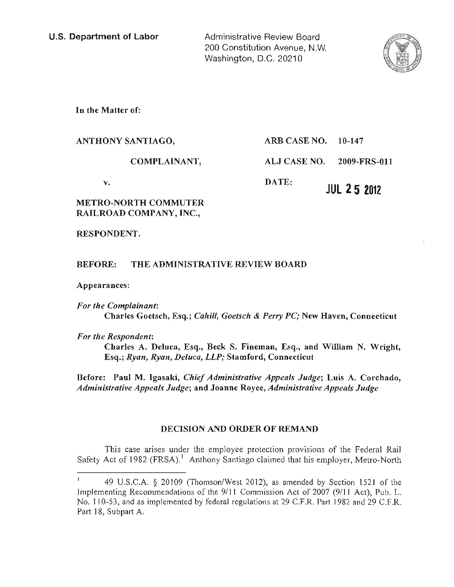Administrative Review Board 200 Constitution Avenue, N.W. Washington, D.C. 20210



In the Matter of:

| v.<br>METDA NADTU <i>c</i> ammited | DATE:<br><b>JUL 25 2012</b>      |
|------------------------------------|----------------------------------|
| COMPLAINANT,                       | <b>ALJ CASE NO. 2009-FRS-011</b> |
| ANTHONY SANTIAGO,                  | ARB CASE NO. $10-147$            |

# METRO-NORTH COMMUTER RAILROAD COMPANY, INC.,

RESPONDENT.

# BEFORE: THE ADMINISTRATIVE REVIEW BOARD

Appearances:

*For the Complainant:*  Charles Goetsch, Esq.; *Cahill, Goetsch* & *Perry PC;* New Haven, Connecticut

*For the Respondent:* 

Charles A. Deluca, Esq., Beck S. Fineman, Esq., and William N. Wright, Esq.; *Ryan, Ryan, Deluca, LLP;* Stamford, Connecticut

Before: Paul M. Igasaki, *Chief Administrative Appeals Judge;* Luis A. Corchado, *Administrative Appeals Judge;* and Joanne Royce, *Administrative Appeals Judge* 

# DECISION AND ORDER OF REMAND

This case arises under the employee protection provisions of the Federal Rail Safety Act of 1982 (FRSA).<sup>1</sup> Anthony Santiago claimed that his employer, Metro-North

<sup>49</sup> U.S.C.A. § 20109 (Thomson/West 2012), as amended by Section 1521 of the Implementing Recommendations of the 9/11 Commission Act of 2007 (9/11 Act), Pub. L. No. I 10-53, and as implemented by federal regulations at 29 C.F.R. Part 1982 and 29 C.F.R. Part 18, Subpart A.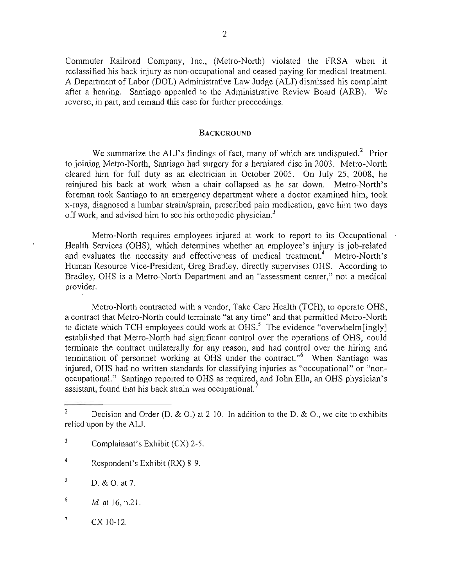Commuter Railroad Company, Inc., (Metro-North) violated the FRSA when it reclassified his back injury as non-occupational and ceased paying for medical treatment. A Department of Labor (DOL) Administrative Law Judge (ALJ) dismissed his complaint after a hearing. Santiago appealed to the Administrative Review Board (ARB). We reverse, in part, and remand this case for further proceedings.

#### **BACKGROUND**

We summarize the ALJ's findings of fact, many of which are undisputed.<sup>2</sup> Prior to joining Metro-North, Santiago had surgery for a herniated disc in 2003. Metro-North cleared him for full duty as an electrician in October 2005. On July 25, 2008, he reinjured his back at work when a chair collapsed as he sat down. Metro-North's foreman took Santiago to an emergency department where a doctor examined him, took x-rays, diagnosed a lumbar strain/sprain, prescribed pain medication, gave him two days off work, and advised him to see his orthopedic physician.<sup>3</sup>

Metro-North requires employees injured at work to report to its Occupational Health Services (OHS), which determines whether an employee's injury is job-related and evaluates the necessity and effectiveness of medical treatment.<sup>4</sup> Metro-North's Human Resource Vice-President, Greg Bradley, directly supervises OHS. According to Bradley, OHS is a Metro-North Department and an "assessment center," not a medical provider.

Metro-North contracted with a vendor, Take Care Health (TCH), to operate OHS, a contract that Metro-North could terminate "at any time" and that permitted Metro-North to dictate which TCH employees could work at  $\overline{OHS}^5$ . The evidence "overwhelm[ingly] established that Metro-North had significant control over the operations of OHS, could terminate the contract unilaterally for any reason, and had control over the hiring and termination of personnel working at OHS under the contract."<sup>6</sup> When Santiago was injured, OHS had no written standards for classifying injuries as "occupational" or "nonoccupationaL" Santiago reported to OHS as required, and John Ella, an OHS physician's assistant, found that his back strain was occupational.<sup>7</sup>

- 3 Complainant's Exhibit (CX) 2-5.
- 4 Respondent's Exhibit (RX) 8-9.
- $D. & O.$  at 7.
- $^{6}$  *ld.* at 16, n.21.
- $^7$  CX 10-12.

<sup>&</sup>lt;sup>2</sup> Decision and Order (D.  $\&$  O.) at 2-10. In addition to the D.  $\&$  O., we cite to exhibits relied upon by the ALJ.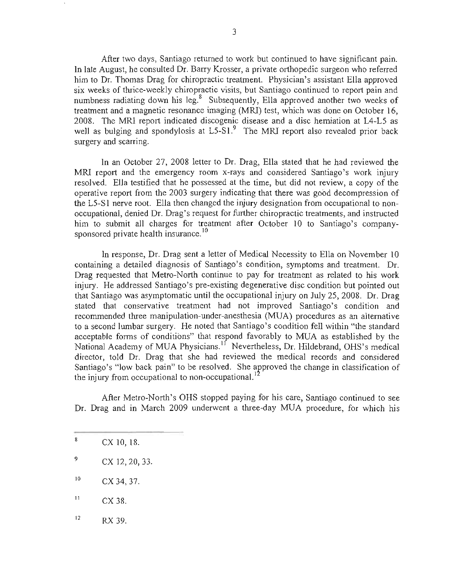After two days, Santiago returned to work but continued to have significant pain. In late August, he consulted Dr. Barry Krosser, a private orthopedic surgeon who referred him to Dr. Thomas Drag for chiropractic treatment. Physician's assistant Ella approved six weeks of thrice-weekly chiropractic visits, but Santiago continued to report pain and numbness radiating down his leg.<sup>8</sup> Subsequently, Ella approved another two weeks of treatment and a magnetic resonance imaging (MRI) test, which was done on October 16, 2008. The MRI report indicated discogenic disease and a disc herniation at L4-L5 as well as bulging and spondylosis at  $L5-S1<sup>9</sup>$ . The MRI report also revealed prior back surgery and scarring.

In an October 27, 2008 letter to Dr. Drag, Ella stated that he had reviewed the MRI report and the emergency room x-rays and considered Santiago's work injury resolved. Ella testified that he possessed at the time, but did not review, a copy of the operative report from the 2003 surgery indicating that there was good decompression of the L5-S1 nerve root. Ella then changed the injury designation from occupational to nonoccupational, denied Dr. Drag's request for further chiropractic treatments, and instructed him to submit all charges for treatment after October 10 to Santiago's companysponsored private health insurance.<sup>10</sup>

In response, Dr. Drag sent a letter of Medical Necessity to Ella on November 10 containing a detailed diagnosis of Santiago's condition, symptoms and treatment. Dr. Drag requested that Metro-North continue to pay for treatment as related to his work injury. He addressed Santiago's pre-existing degenerative disc condition but pointed out that Santiago was asymptomatic until the occupational injury on July 25, 2008. Dr. Drag stated that conservative treatment had not improved Santiago's condition and recommended three manipulation-under-anesthesia (MUA) procedures as an alternative to a second lumbar surgery. He noted that Santiago's condition fell within "the standard" acceptable forms of conditions" that respond favorably to MUA as established by the National Academy of MUA Physicians.<sup>11</sup> Nevertheless, Dr. Hildebrand, OHS's medical director, told Dr. Drag that she had reviewed the medical records and considered Santiago's "low back pain" to be resolved. She approved the change in classification of the injury from occupational to non-occupational.'

After Metro-North's OHS stopped paying for his care, Santiago continued to see Dr. Drag and in March 2009 underwent a three-day MUA procedure, for which his

- $CX 38.$
- $RX$  39.

 $8 \quad CX 10, 18.$ 

 $\degree$  CX 12, 20, 33.

<sup>10</sup> CX 34, 37.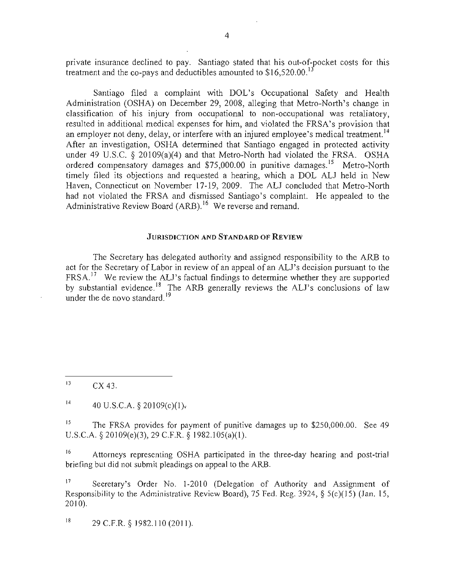private insurance declined to pay. Santiago stated that his out-of-pocket costs for this treatment and the co-pays and deductibles amounted to  $$16,520,00$ .<sup>1</sup>

Santiago filed a complaint with DOL's Occupational Safety and Health Administration (OSHA) on December 29, 2008, alleging that Metro-North's change in classification of his injury from occupational to non-occupational was retaliatory, resulted in additional medical expenses for him, and violated the FRSA's provision that an employer not deny, delay, or interfere with an injured employee's medical treatment.<sup>14</sup> After an investigation, OSHA determined that Santiago engaged in protected activity under 49 U.S.C. § 20109(a)(4) and that Metro-North had violated the FRSA. OSHA ordered compensatory damages and \$75,000.00 in punitive damages.<sup>15</sup> Metro-North timely filed its objections and requested a hearing, which a DOL ALJ held in New Haven, Connecticut on November 17-19,2009. The ALJ concluded that Metro-North had not violated the FRSA and dismissed Santiago's complaint. He appealed to the Administrative Review Board (ARB).<sup>16</sup> We reverse and remand.

#### JURISDICTION AND STANDARD OF REVIEW

The Secretary has delegated authority and assigned responsibility to the ARB to act for the Secretary of Labor in review of an appeal of an ALJ's decision pursuant to the  $FRSA<sup>17</sup>$  We review the ALJ's factual findings to determine whether they are supported by substantial evidence.<sup>18</sup> The ARB generally reviews the ALJ's conclusions of law under the de novo standard.<sup>19</sup>

 $CX$  43.

<sup>14</sup> 40 U.S.C.A.  $\S 20109(c)(1)$ ,

<sup>15</sup> The FRSA provides for payment of punitive damages up to \$250,000.00. See 49 U.S.C.A. § 20109(e)(3), 29 C.F.R. § 1982.105(a)(I).

<sup>16</sup> Attorneys representing OSHA participated in the three-day hearing and post-trial briefing but did not submit pleadings on appeal to the ARB.

<sup>17</sup> Secretary's Order No. 1-2010 (Delegation of Authority and Assignment of Responsibility to the Administrative Review Board), 75 Fed. Reg. 3924,  $\S$  5(c)(15) (Jan. 15, 2010).

 $18$  29 C.F.R. § 1982.110 (2011).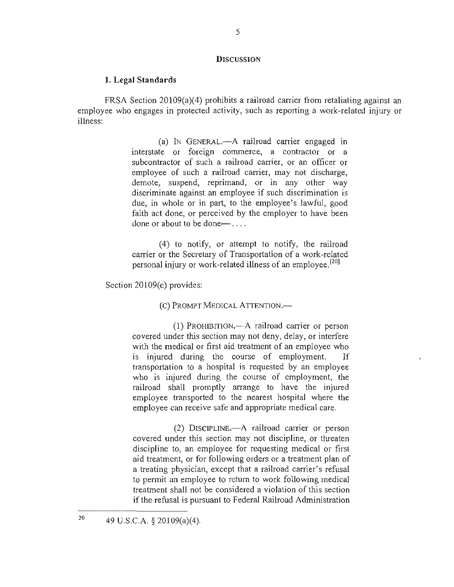#### **DISCUSSION**

#### **1. Legal Standards**

FRSA Section 20109(a)(4) prohibits a railroad carrier from retaliating against an employee who engages in protected activity, such as reporting a work-related injury or illness:

> (a) IN GENERAL.-A railroad carrier engaged in interstate or foreign commerce, a contractor or a subcontractor of such a railroad carrier, or an officer or employee of such a railroad carrier, may not discharge, demote, suspend, reprimand, or in any other way discriminate against an employee if such discrimination is due, in whole or in part, to the employee's lawful, good faith act done, or perceived by the employer to have been done or about to be done— $\ldots$

> (4) to notify, or attempt to notify, the railroad carrier or the Secretary of Transportation of a work-related personal injury or work-related illness of an employee.<sup>[20]</sup>

Section 20109(c) provides:

(C) PROMPT MEDICAL ATTENTION.—

(I) PROHIBITION.-A railroad carrier or person covered under this section may not deny, delay, or interfere with the medical or first aid treatment of an employee who is injured during the course of employment. If transportation to a hospital is requested by an employee who is injured during the course of employment, the railroad shall promptly arrange to have the injured employee transported to the nearest hospital where the employee can receive safe and appropriate medical care.

(2) DISCIPLINE.-A railroad carrier or person covered under this section may not discipline, or threaten discipline to, an employee for requesting medical or first aid treatment, or for following orders or a treatment plan of a treating physician, except that a railroad carrier's refusal to permit an employee to return to work following medical treatment shall not be considered a violation of this section if the refusal is pursuant to Federal Railroad Administration

<sup>20</sup>  49 U.S.C.A. § 201 09(a)(4).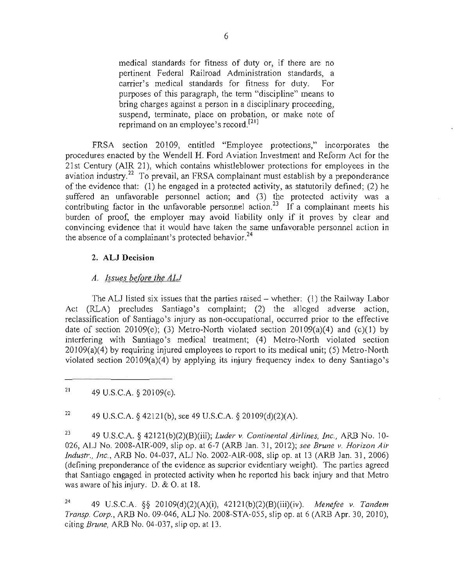medical standards for fitness of duty or, if there are no pertinent Federal Railroad Administration standards, a carrier's medical standards for fitness for duty. For purposes of this paragraph, the term "discipline" means to bring charges against a person in a disciplinary proceeding, suspend, terminate, place on probation, or make note of reprimand on an employee's record.<sup>[21]</sup>

FRSA section 20109, entitled "Employee protections," incorporates the procedures enacted by the Wendell H. Ford Aviation Investment and Reform Act for the 21 st Century (AIR 21), which contains whistleblower protections for employees in the aviation industry.<sup>22</sup> To prevail, an FRSA complainant must establish by a preponderance of the evidence that: (I) he engaged in a protected activity, as statutorily defined; (2) he suffered an unfavorable personnel action; and (3) the protected activity was a contributing factor in the unfavorable personnel action.<sup>23</sup> If a complainant meets his burden of proof, the employer may avoid liability only if it proves by clear and convincing evidence that it would have taken the same unfavorable personnel action in the absence of a complainant's protected behavior.<sup>24</sup>

### 2. **ALl** Decision

### *A. Issues before the AU*

The ALJ listed six issues that the parties raised  $-$  whether: (1) the Railway Labor Act (RLA) precludes Santiago's complaint; (2) the alleged adverse action, reclassification of Santiago's injury as non-occupational, occurred prior to the effective date of section 20109(c); (3) Metro-North violated section 20109(a)(4) and (c)(1) by interfering with Santiago's medical treatment; (4) Metro-North violated section 20109(a)(4) by requiring injured employees to report to its medical unit; (5) Metro-North violated section 20109(a)(4) by applying its injury frequency index to deny Santiago's

<sup>22</sup> 49 U.S.C.A. § 42121(b), see 49 U.S.C.A. § 20109(d)(2)(A).

23 49 U.S.C.A. § 42121 (b)(2)(B)(iii); *Luder* v. *Continental Airlines, inc.,* ARB No. 10- 026, AU No. 2008-AIR~009, slip op. at 6-7 (ARB Jan. 31,2012); *see Brune v. Horizon Air Industr., Inc.,* ARB No. 04-037, AU No. 2002-AIR-008, slip op. at 13 (ARB Jan. 31, 2006) (defining preponderance of the evidence as superior evidentiary weight). The parties agreed that Santiago engaged in protected activity when he reported his back injury and that Metro was aware of his injury. D. & O. at 18.

24 49 U.S.C.A. §§ 20109(d)(2)(A)(i), 42121 (b)(2)(B)(iii)(iv). *Menefee* v. *Tandem Transp. Corp.,* ARB No. 09-046, ALl No. 2008-STA-055, slip op. at 6 (ARB Apr. 30, 2010), citing *Brune,* ARB No. 04-037, slip op. at 13.

<sup>&</sup>lt;sup>21</sup> 49 U.S.C.A.  $\S$  20109(c).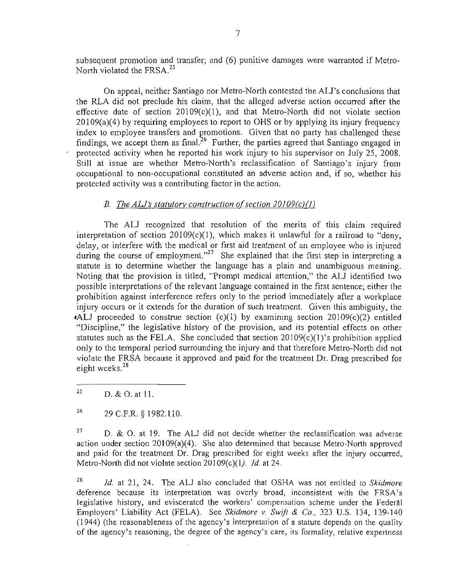subsequent promotion and transfer; and (6) punitive damages were warranted if Metro-North violated the FRSA.<sup>25</sup>

On appeal, neither Santiago nor Metro-North contested the ALl's conclusions that the RLA did not preclude his claim, that the alleged adverse action occurred after the effective date of section 20109(c)(I), and that Metro-North did not violate section 20109(a)(4) by requiring employees to report to OHS or by applying its injury frequency index to employee transfers and promotions. Given that no party has challenged these findings, we accept them as final.<sup>26</sup> Further, the parties agreed that Santiago engaged in protected activity when he reported his work injury to his supervisor on July 25, 2008. Still at issue are whether Metro-North's reclassification of Santiago 's injury from occupational to non-occupational constituted an adverse action and, if so, whether his protected activity was a contributing factor in the action.

# *B. The ALJ's statutory construction of section 20109(c)(1)*

The ALl recognized that resolution of the merits of this claim required interpretation of section  $20109(c)(1)$ , which makes it unlawful for a railroad to "deny, delay, or interfere with the medical or first aid treatment of an employee who is injured during the course of employment. $n^{27}$  She explained that the first step in interpreting a statute is to determine whether the language has a plain and unambiguous meaning. Noting that the provision is titled, "Prompt medical attention," the ALJ identified two possible interpretations of the relevant language contained in the first sentence; either the prohibition against interference refers only to the period immediately after a workplace injury occurs or it extends for the duration of such treatment. Given this ambiguity, the **tall proceeded to construe section (c)(1) by examining section 20109(c)(2) entitled** "Discipline," the legislative history of the provision, and its potential effects on other statutes such as the FELA. She concluded that section  $20109(c)(1)'$  prohibition applied only to the temporal period surrounding the injury and that therefore Metro-North did not violate the FRSA because it approved and paid for the treatment Dr. Drag prescribed for eight weeks.<sup>28</sup>

<sup>27</sup> D. & O. at 19. The ALJ did not decide whether the reclassification was adverse action under section 20109(a)(4). She also determined that because Metro-North approved and paid for the treatment Dr. Drag prescribed for eight weeks after the injury occurred, Metro-North did not violate section 20109(c)(I) .. *Id.* at 24.

<sup>28</sup> *Id.* at 21, 24. The ALJ also concluded that OSHA was not entitled to *Skidmore* deference because its interpretation was overly broad, inconsistent with the FRSA's legislative history, and eviscerated the workers' compensation scheme under the Federal Employers' Liability Act (FELA). See *Skidmore* v. *Swift* & *Co.,* 323 U.S. 134, 139-140 (1944) (the reasonableness of the agency's interpretation of a statute depends on the quality of the agency's reasoning, the degree of the agency's care, its formality, relative expertness

 $25$  D. & O. at 11.

 $^{26}$  29 C.F.R. § 1982.110.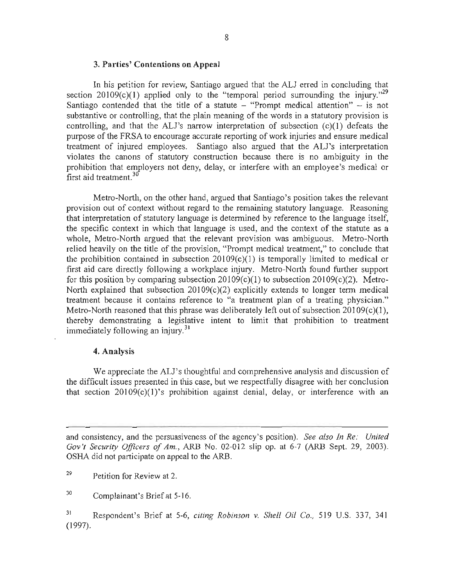#### 3. Parties' Contentions on Appeal

In his petition for review, Santiago argued that the ALl erred in concluding that section 20109 $(c)(1)$  applied only to the "temporal period surrounding the injury."<sup>29</sup> Santiago contended that the title of a statute  $-$  "Prompt medical attention"  $-$  is not substantive or controlling, that the plain meaning of the words in a statutory provision is controlling, and that the ALl's narrow interpretation of subsection (c)(l) defeats the purpose of the FRS A to encourage accurate reporting of work injuries and ensure medical treatment of injured employees. Santiago also argued that the ALl's interpretation violates the canons of statutory construction because there is no ambiguity in the prohibition that employers not deny, delay, or interfere with an employee's medical or first aid treatment.<sup>30</sup>

Metro-North, on the other hand, argued that Santiago's position takes the relevant provision out of context without regard to the remaining statutory language. Reasoning that interpretation of statutory language is determined by reference to the language itself, the specific context in which that language is used, and the context of the statute as a whole, Metro-North argued that the relevant provision was ambiguous. Metro-North relied heavily on the title of the provision, "Prompt medical treatment," to conclude that the prohibition contained in subsection 20109(c)(I) is temporally limited to medical or first aid care directly following a workplace injury. Metro-North found further support for this position by comparing subsection  $20109(c)(1)$  to subsection  $20109(c)(2)$ . Metro-North explained that subsection  $20109(c)(2)$  explicitly extends to longer term medical treatment because it contains reference to "a treatment plan of a treating physician." Metro-North reasoned that this phrase was deliberately left out of subsection 20109(c)(1), thereby demonstrating a legislative intent to limit that prohibition to treatment immediately following an injury.<sup>31</sup>

### 4. Analysis

We appreciate the ALJ's thoughtful and comprehensive analysis and discussion of the difficult issues presented in this case, but we respectfully disagree with her conclusion that section 20109(c)(I)'s prohibition against denial, delay, or interference with an

and consistency, and the persuasiveness of the agency's position). *See also In Re: United Gov'! Security Officers of Am.,* ARB No. 02-012 slip op. at 6-7 (ARB Sept. 29, 2003). OSHA did not participate on appeal to the ARB.

29 Petition for Review at 2.

30 Complainant's Briefat 5-16.

3) Respondent's Brief at 5-6, *citing Robinson* v. *Shell Oil Co.,* 519 U.S. 337, 341 (1997).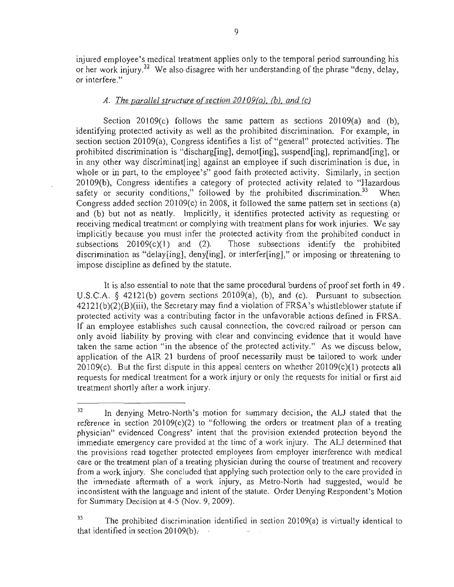injured employee's medical treatment applies only to the temporal period surrounding his or her work injury.<sup>32</sup> We also disagree with her understanding of the phrase "deny, delay, or interfere."

### *A. The parallel structure of section 20109(a), (b), and (c)*

Section 20109(c) follows the same pattern as sections 20109(a) and (b), identifying protected activity as well as the prohibited discrimination. For example, in section section 20109(a), Congress identifies a list of "general" protected activities. The prohibited discrimination is "discharg[ing], demot[ing], suspend[ing], reprimand[ing], or in any other way discriminat[ing] against an employee if such discrimination is due, in whole or in part, to the employee's" good faith protected activity. Similarly, in section 20109(b), Congress identifies a category of protected activity related to "Hazardous safety or security conditions," followed by the prohibited discrimination.<sup>33</sup> When Congress added section 20109(c) in 2008, it followed the same pattern set in sections (a) and (b) but not as neatly. Implicitly, it identifies protected activity as requesting or receiving medical treatment or complying with treatment plans for work injuries. We say implicitly because you must infer the protected activity from the prohibited conduct in subsections  $20109(c)(1)$  and (2). Those subsections identify the prohibited discrimination as "delay[ing], deny[ing], or interfer[ing]," or imposing or threatening to impose discipline as defined by the statutc.

It is also essential to note that the same procedural burdens of proof set forth in 49 , U.S.C.A. § 42121(b) govern sections 20109(a), (b), and (c). Pursuant to subsection  $42121(b)(2)(B)(iii)$ , the Secretary may find a violation of FRSA's whistleblower statute if protected activity was a contributing factor in the unfavorable actions defined in FRSA. If an employee establishes such causal connection, the covered railroad or person can only avoid liability by proving with clear and convincing evidence that it would have taken the same action "in the absence of the protected activity." As we discuss below, application of the AIR 21 burdens of proof necessarily must be tailored to work under 20109(c). But the first dispute in this appeal centers on whether 20109(c)(1) protects all requests for medical treatment for a work injury or only the requests for initial or first aid treatment shortly after a work injury.

<sup>&</sup>lt;sup>32</sup> In denying Metro-North's motion for summary decision, the ALJ stated that the reference in section  $20109(c)(2)$  to "following the orders or treatment plan of a treating physician" evidenced Congress' intent that the provision extended protection beyond the immediate emergency care provided at the time of a work injury. The AU determined that the provisions read together protected employees from employer interference with medical care or the treatment plan of a treating physician during the course of treatment and recovery from a work injury. She concluded that applying such protection only to the care provided in the immediate aftermath of a work injury, as Metro-North had suggested, would be inconsistent with the language and intent of the statute. Order Denying Respondent's Motion for Summary Decision at 4-5 (Nov. 9, 2009).

<sup>&</sup>lt;sup>33</sup> The prohibited discrimination identified in section 20109(a) is virtually identical to that identified in section 20109(b).  $\sim$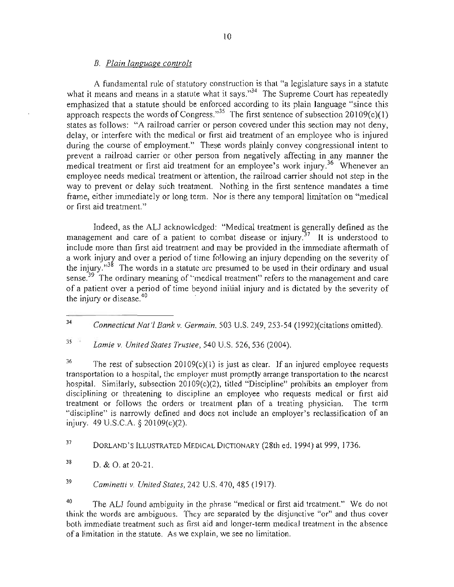### *B. Plain language controls*

A fundamental rule of statutory construction is that "a legislature says in a statute what it means and means in a statute what it says." $34$  The Supreme Court has repeatedly emphasized that a statute should be enforced according to its plain language "since this approach respects the words of Congress.<sup>35</sup> The first sentence of subsection 20109(c)(1) states as follows: "A railroad carrier or person covered under this section may not deny, delay, or interfere with the medical or first aid treatment of an employee who is injured during the course of employment." These words plainly convey congressional intent to prevent a railroad carrier or other person from negatively affecting in any manner the medical treatment or first aid treatment for an employee's work injury.<sup>36</sup> Whenever an employee needs medical treatment or attention, the railroad carrier should not step in the way to prevent or delay such treatment. Nothing in the first sentence mandates a time frame, either immediately or long term. Nor is there any temporal limitation on "medical or first aid treatment."

Indeed, as the ALJ acknowledged: "Medical treatment is generally defined as the management and care of a patient to combat disease or injury.<sup>37</sup> It is understood to include more than first aid treatment and may be provided in the immediate aftennath of a work injury and over a period of time following an injury depending on the severity of the injury.<sup>33</sup> The words in a statute are presumed to be used in their ordinary and usual sense.<sup>39</sup> The ordinary meaning of "medical treatment" refers to the management and care of a patient over a period of time beyond initial injury and is dictated by the severity of the injury or disease.<sup>40</sup>

<sup>35</sup>*Lamie v. United States Trustee ,* 540 U.S. 526, 536 (2004).

<sup>36</sup> The rest of subsection 20109(c)(1) is just as clear. If an injured employee requests transportation to a hospital, the employer must promptly arrange transportation to the nearest hospital. Similarly, subsection 20109(c)(2), titled "Discipline" prohibits an employer from disciplining or threatening to discipline an employee who requests medical or first aid treatment or follows the orders or treatment plan of a treating physician. The term "discipline" is narrowly defined and docs not include an employer's reclassification of an injury. 49 U.S.C.A. § 20109(c)(2).

37 DORLAND'S ILLUSTRATED MEDICAL DICTIONARY (28th ed. 1994) at 999, 1736.

<sup>39</sup>*Caminetti* v. *United States,* 242 U.S. 470, 485 (1917).

<sup>40</sup> The ALJ found ambiguity in the phrase "medical or first aid treatment." We do not think the words are ambiguous. They are separated by the disjunctive "or" and thus cover both immediate treatment such as first aid and longer-term medical treatment in the absence of a limitation in the statute. As we explain, we see no limitation.

<sup>34</sup>*Connecticut Nat'[ Bank v. Germain,* 503 U.S. 249, 253-54 (I 992)(citations omitted).

 $38$  D. & O. at 20-21.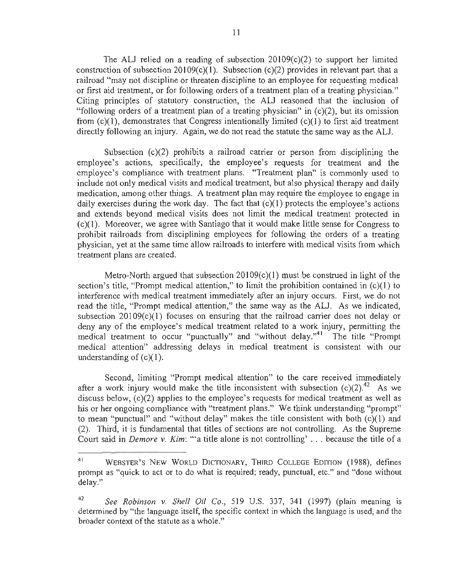The ALJ relied on a reading of subsection 20109(c)(2) to support her limited construction of subsection 20109(c)(1). Subsection (c)(2) provides in relevant part that a railroad "may not discipline or threaten discipline to an employee for requesting medical or first aid treatment, or for following orders of a treatment plan of a treating physician." Citing principles of statutory construction, the AU reasoned that the inclusion of "following orders of a treatment plan of a treating physician" in  $(c)(2)$ , but its omission from  $(c)(1)$ , demonstrates that Congress intentionally limited  $(c)(1)$  to first aid treatment directly following an injury. Again, we do not read the statute the same way as the ALJ.

Subsection  $(c)(2)$  prohibits a railroad carrier or person from disciplining the employee's actions, specifically, the employee's requests for treatment and the employee's compliance with treatment plans. "Treatment plan" is commonly used to include not only medical visits and medical treatment, but also physical therapy and daily medication, among other things. A treatment plan may require the employee to engage in daily exercises during the work day. The fact that  $(c)(1)$  protects the employee's actions and extends beyond medical visits does not limit the medical treatment protected in (c)(I). Moreover, we agree with Santiago that it would make little sense for Congress to prohibit railroads from disciplining employees for following the orders of a treating physician, yet at the same time allow railroads to interfere with medical visits from which treatment plans are created.

Metro-North argued that subsection  $20109(c)(1)$  must be construed in light of the section's title, "Prompt medical attention," to limit the prohibition contained in  $(c)(1)$  to interference with medical treatment immediately after an injury occurs. First, we do not read the title, "Prompt medical attention," the same way as the AU. As we indicated, subsection  $20109(c)(1)$  focuses on ensuring that the railroad carrier does not delay or deny any of the employee's medical treatment related to a work injury, permitting the medical treatment to occur "punctually" and "without delay."<sup>41</sup> The title "Prompt medical attention" addressing delays in medical treatment is consistent with our understanding of  $(c)(1)$ .

Second, limiting "Prompt medical attention" to the care received immediately after a work injury would make the title inconsistent with subsection  $(c)(2)$ <sup>42</sup> As we discuss below, (c)(2) applies to the employee's requests for medical treatment as well as his or her ongoing compliance with "treatment plans." We think understanding "prompt" to mean "punctual" and "without delay" makes the title consistent with both (c)(I) and (2). Third, it is fundamental that titles of sections are not controlling. As the Supreme Court said in *Demore* v. *Kim:* "'a title alone is not controlling' . . . because the title of a

<sup>&</sup>lt;sup>41</sup> WEBSTER'S NEW WORLD DICTIONARY, THIRD COLLEGE EDITION (1988), defines prompt as "quick to act or to do what is required; ready, punctual, etc." and "done without delay."

<sup>42</sup>*See Robinson* v. *Shell Oil Co.,* 519 U.S. 337, 341 (1997) (plain meaning is determined by "the language itself, the specific context in which the language is used, and the broader context of the statute as a whole."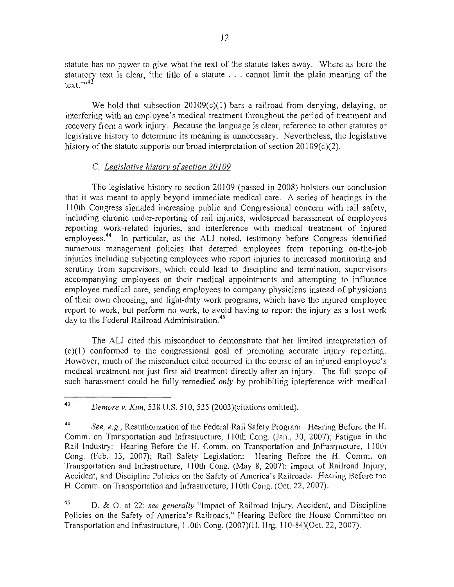statute has no power to give what the text of the statute takes away. Where as here the statutory text is clear, 'the title of a statute ... cannot limit the plain meaning of the text." $43$ 

We hold that subsection 20109(c)(1) bars a railroad from denying, delaying, or interfering with an employee's medical treatment throughout the period of treatment and recovery from a work injury. Because the language is clear, reference to other statutes or legislative history to determine its meaning is unnecessary. Nevertheless, the legislative history of the statute supports our broad interpretation of section  $20109(c)(2)$ .

# C. *Legislative history of section 20109*

The legislative history to section 20109 (passed in 2008) bolsters our conclusion that it was meant to apply beyond immediate medical care. A series of hearings in the 1 10th Congress signaled increasing public and Congressional concern with rail safety, including chronic under-reporting of rail injuries, widespread harassment of employees reporting work-related injuries, and interference with medical treatment of injured employees.<sup>44</sup> In particular, as the ALJ noted, testimony before Congress identified numerous management policies that deterred employees from reporting on-the-job injuries including subjecting employees who report injuries to increased monitoring and scrutiny from supervisors, which could lead to discipline and termination, supervisors accompanying employees on their medical appointments and attempting to influence employee medical care, sending employees to company physicians instead of physicians of their own choosing, and light-duty work programs, which have the injured employee report to work, but perform no work, to avoid having to report the injury as a lost work day to the Federal Railroad Administration.<sup>45</sup>

The ALJ cited this misconduct to demonstrate that her limited interpretation of (c)(I) conformed to the congressional goal of promoting accurate injury reporting. However, much of the misconduct cited occurred in the course of an injured employee's medical treatment not just first aid treatment directly after an injury. The full scope of such harassment could be fully remedied *only* by prohibiting interference with medical

45 D. & O. at 22: *see generally* "Impact of Railroad Injury, Accident, and Discipline Policies on the Safety of America's Railroads," Hearing Before the House Committee on Transportation and Infrastructure,  $110$ th Cong.  $(2007)(H. Hrg. 110-84)(Oct. 22, 2007)$ .

<sup>43</sup>*Demore v. Kim,* 538 U.S. 510,535 (2003)(citations omitted).

<sup>44</sup> *See, e.g.,* Reauthorization of the Federal Rail Safety Program: Hearing Before the H. Comm. on Transportation and Infrastructure, 110th Cong. (Jan., 30, 2007); Fatigue in the Rail Industry: Hearing Before the H. Comm. on Transportation and Infrastructure, Il0th Cong. (Feb. 13, 2007); Rail Safety Legislation: Hearing Before the H. Comm. on Transportation and Infrastructure, 110th Cong. (May 8, 2007): Impact of Railroad Injury, Accident, and Discipline Policies on the Safety of America's Railroads: Hearing Before the H. Comm. on Transportation and Infrastructure, 110th Cong. (Oct. 22, 2007).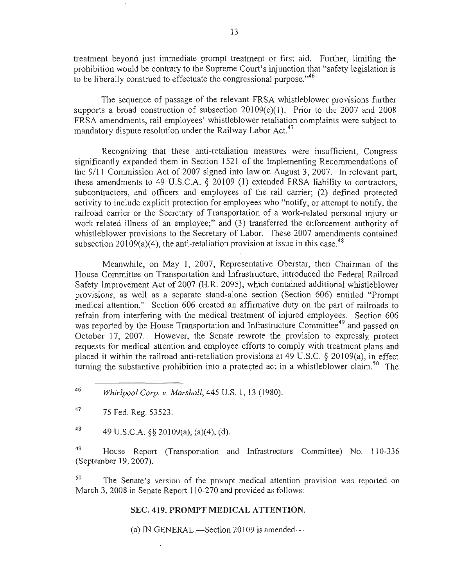treatment beyond just immediate prompt treatment or first aid. Further, limiting the prohibition would be contrary to the Supreme Court's injunction that "safety legislation is to be liberally construed to effectuate the congressional purpose. $146$ 

The sequence of passage of the relevant FRSA whistleblower provisions further supports a broad construction of subsection 20109(c)(1). Prior to the 2007 and 2008 FRSA amendments, rail employees' whistleblower retaliation complaints were subject to mandatory dispute resolution under the Railway Labor Act.<sup>47</sup>

Recognizing that these anti-retaliation measures were insufficient, Congress significantly expanded them in Section 1521 of the Implementing Recommendations of the 9111 Commission Act of 2007 signed into law on August 3, 2007. In relevant part, these amendments to 49 U.S.C.A. § 20109 (I) extended FRSA liability to contractors, subcontractors, and officers and employees of the rail carrier; (2) defined protected activity to include explicit protection for employees who "notify, or attempt to notify, the railroad carrier or the Secretary of Transportation of a work-related personal injury or work-related illness of an employee;" and (3) transferred the enforcement authority of whistleblower provisions to the Secretary of Labor. These 2007 amendments contained subsection 20109(a)(4), the anti-retaliation provision at issue in this case.<sup>48</sup>

Meanwhile, on May I, 2007, Representative Oberstar, then Chairman of the House Committee on Transportation and Infrastructure, introduced the Federal Railroad Safety Improvement Act of 2007 (H.R. 2095), which contained additional whistleblower provisions, as well as a separate stand-alone section (Section 606) entitled "Prompt medical attention." Section 606 created an affirmative duty on the part of railroads to refrain from interfering with the medical treatment of injured employees. Section 606 was reported by the House Transportation and Infrastructure Committee<sup>49</sup> and passed on October 17, 2007. However, the Senate rewrote the provision to expressly protect requests for medical attention and employee efforts to comply with treatment plans and placed it within the railroad anti-retaliation provisions at  $49 \text{ U.S.C.}$  § 20109(a), in effect turning the substantive prohibition into a protected act in a whistleblower claim.<sup>50</sup> The

48 49 U.S.C.A.  $\S$ § 20109(a), (a)(4), (d).

<sup>49</sup> House Report (Transportation and Infrastructure Committee) No. 110-336 (September 19,2007).

 $50$  The Senate's version of the prompt medical attention provision was reported on March 3,2008 in Senate Report 110-270 and provided as follows:

### SEC. 419. **PROMPT MEDICAL** ATTENTION.

(a) IN GENERAL.—Section 20109 is amended—

<sup>46</sup>*Whirlpool Corp.* v. *Marshall,* 445 U.S. I, 13 (1980).

<sup>47 75</sup> Fed. Reg. 53523.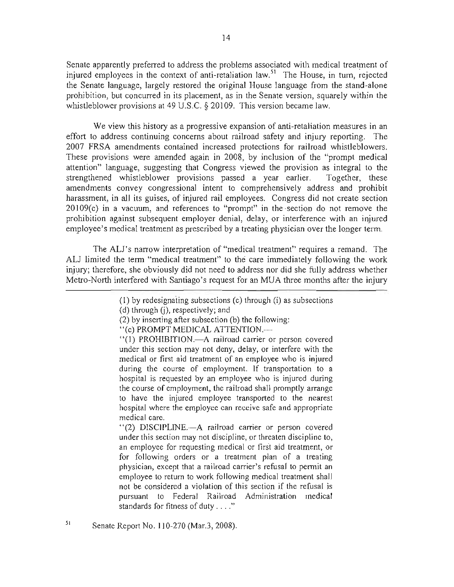Senate apparently preferred to address the problems associated with medical treatment of injured employees in the context of anti-retaliation law.<sup>51</sup> The House, in turn, rejected the Senate language, largely restored the original House language from the stand-alone prohibition, but concurred in its placement, as in the Senate version, squarely within the whistleblower provisions at 49 U.S.C. § 20109. This version became law.

We view this history as a progressive expansion of anti-retaliation measures in an effort to address continuing concerns about railroad safety and injury reporting. The 2007 FRSA amendments contained increased protections for railroad whistleblowers. These provisions were amended again in 2008, by inclusion of the "prompt medical attention" language, suggesting that Congress viewed the provision as integral to the strengthened whistleblower provisions passed a year earlier. Together, these amendments convey congressional intent to comprehensively address and prohibit harassment, in all its guises, of injured rail employees. Congress did not create section 20109(c) in a vacuum, and references to "prompt" in the section do not remove the prohibition against subsequent employer denial, delay, or interference with an injured employee's medical treatment as prescribed by a treating physician over the longer term.

The ALl's narrow interpretation of "medical treatment" requires a remand. The ALl limited the term "medical treatment" to the care immediately following the work injury; therefore, she obviously did not need to address nor did she fully address whether Metro-North interfered with Santiago's request for an MUA three months after the injury

"(2) DISCIPLINE.-A railroad carrier or person covered under this section may not discipline, or threaten discipline to, an employee for requesting medical or first aid treatment, or for following orders or a treatment plan of a treating physician, except that a railroad carrier's refusal to permit an employee to return to work following medical treatment shall not be considered a violation of this section if the refusal is pursuant to Federal Railroad Administration medical standards for fitness of duty .... "

<sup>(</sup>I) by redesignaiing subsections (c) through (i) as subsections

 $(d)$  through  $(i)$ , respectively; and

<sup>(2)</sup> by inserting after subsection (b) the following:

<sup>&</sup>quot;(c) PROMPT MEDICAL ATTENTION.-

<sup>&</sup>quot;(1) PROHIBITION.-A railroad carrier or person covered under this section may not deny, delay, or interfere with the medical or first aid treatment of an employee who is injured during the course of employment. If transportation to a hospital is requested by an employee who is injured during the course of employment, the railroad shall promptly arrange to have the injured employee transported to the nearest hospital where the employee can receive safe and appropriate medical care.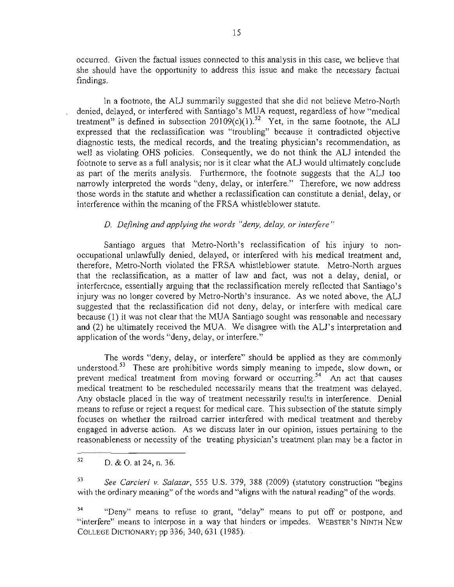occurred. Given the factual issues connected to this analysis in this case, we believe that she should have the opportunity to address this issue and make the necessary factual findings.

In a footnote, the AU summarily suggested that she did not believe Metro-North denied, delayed, or interfered with Santiago's MUA request, regardless of how "medical treatment" is defined in subsection  $20109(c)(1)$ .<sup>52</sup> Yet, in the same footnote, the ALJ expressed that the reclassification was "troubling" because it contradicted objective diagnostic tests, the medical records, and the treating physician's recommendation, as well as violating OHS policies. Consequently, we do not think the ALJ intended the footnote to serve as a full analysis; nor is it clear what the ALJ would ultimately conclude as part of the merits analysis. Furthermore, the footnote suggests that the AU too narrowly interpreted the words "deny, delay, or interfere." Therefore, we now address those words in the statute and whether a reclassification can constitute a denial, delay, or interference within the meaning of the FRSA whistleblower statute.

# *D. Defining and applying the words "deny, delay, or interfere"*

Santiago argues that Metro-North's reclassification of his injury to nonoccupational unlawfully denied, delayed, or interfered with his medical treatment and, therefore, Metro-North violated the FRSA whistleblower statute. Metro-North argues that the reclassification, as a matter of law and fact, was not a delay, denial, or interference, essentially arguing that the reclassification merely reflected that Santiago's injury was no longer covered by Metro-North's insurance. As we noted above, the ALJ suggested that the reclassification did not deny, delay, or interfere with medical care because (l) it was not clear that the MUA Santiago sought was reasonable and necessary and (2) he ultimately received the MUA. We disagree with the AU's interpretation and application of the words "deny, delay, or interfere."

The words "deny, delay, or interfere" should be applied as they are commonly understood.<sup>53</sup> These are prohibitive words simply meaning to impede, slow down, or prevent medical treatment from moving forward or occurring.<sup>54</sup> An act that causes medical treatment to be rescheduled necessarily means that the treatment was delayed. Any obstacle placed in the way of treatment necessarily results in interference. Denial means to refuse or reject a request for medical care. This subsection of the statute simply focuses on whether the railroad carrier interfered with medical treatment and thereby engaged in adverse action. As we discuss later in our opinion, issues pertaining to the reasonableness or necessity of the treating physician's treatment plan may be a factor in

 $52$  D. & O. at 24, n. 36.

<sup>53</sup>*See Carcieri v. Salazar,* 555 U.S. 379, 388 (2009) (statutory construction "begins with the ordinary meaning" of the words and "aligns with the natural reading" of the words.

<sup>54 &</sup>quot;Deny" means to refuse to grant, "delay" means to put off or postpone, and "interfere" means to interpose in a way that hinders or impedes. WEBSTER'S NINTH NEW COLLEGE DICTIONARY; pp 336; 340, 631 (1985),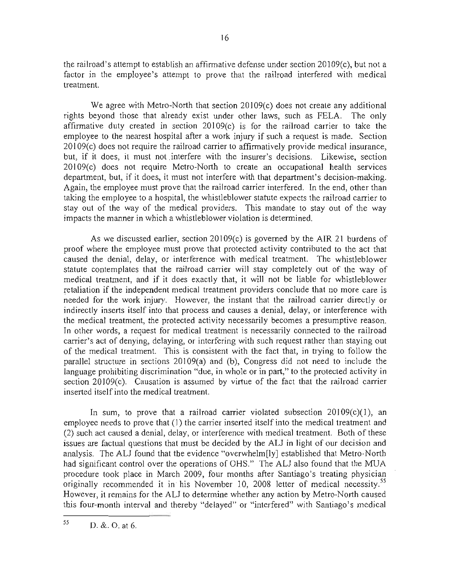the railroad's attempt to establish an affirmative defense under section 20109(c), but not a factor in the employee's attempt to prove that the railroad interfered with medical treatment.

We agree with Metro-North that section 20109(c) does not create any additional rights beyond those that already exist under other laws, such as FELA. The only affirmative duty created in section 20109(c) is for the railroad carrier to take the employee to the nearest hospital after a work injury if such a request is made. Section 20109(c) does not require the railroad carrier to affirmatively provide medical insurance, but, if it does, it must not interfere with the insurer's decisions. Likewise, section 20109(c) does not require Metro-North to create an occupational health services department, but, if it does, it must not interfere with that department's decision-making. Again, the employee must prove that the railroad carrier interfered. In the end, other than taking the employee to a hospital, the whistleblower statute expects the railroad carrier to stay out of the way of the medical providers. This mandate to stay out of the way impacts the manner in which a whistleblower violation is determined.

As we discussed earlier, section 20109(c) is governed by the AIR 21 burdens of proof where the employee must prove that protected activity contributed to the act that caused the denial, delay, or interference with medical treatment. The whistleblower statute contemplates that the railroad carrier will stay completely out of the way of medical treatment, and if it does exactly that, it will not be liable for whistleblower retaliation if the independent medical treatment providers conclude that no more care is needed for the work injury. However, the instant that the railroad carrier directly or indirectly inserts itself into that process and causes a denial, delay, or interference with the medical treatment, the protected activity necessarily becomes a presumptive reason. In other words, a request for medical treatment is necessarily connected to the railroad carrier's act of denying, delaying, or interfering with such request rather than staying out of the medical treatment. This is consistent with the fact that, in trying to follow the parallel structure in sections 20109(a) and (b), Congress did not need to include the language prohibiting discrimination "due, in whole or in part," to the protected activity in section 20109(c). Causation is assumed by virtue of the fact that the railroad carrier inserted itself into the medical treatment.

In sum, to prove that a railroad carrier violated subsection  $20109(c)(1)$ , an employee needs to prove that (I) the carrier inserted itself into the medical treatment and (2) such act caused a denial, delay, or interference with medical treatment. Both of these issues are factual questions that must be decided by the AU in light of our decision and analysis. The ALJ found that the evidence "overwhelm[ly] established that Metro-North had significant control over the operations of OHS." The ALJ also found that the MUA procedure took place in March 2009, four months after Santiago's treating physician originally recommended it in his November 10, 2008 letter of medical necessity.<sup>55</sup> However, it remains for the ALJ to determine whether any action by Metro-North caused this four-month interval and thereby "delayed" or "interfered" with Santiago's medical

 $55$  D. &. O. at 6.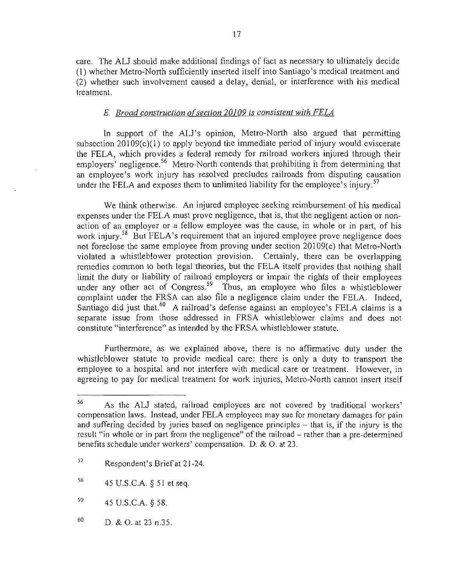care. The ALJ should make additional findings of fact as necessary to ultimately decide (I) whether Metro-North sufficiently inserted itself into Santiago's medical treatment and (2) whether such involvement caused a delay, denial, or interference with his medical treatment.

### *E. Broad construction orsection 20109 is consistent with FELA*

In support of the ALJ's opinion, Metro-North also argued that permitting subsection  $20109(c)(1)$  to apply beyond the immediate period of injury would eviscerate the FELA, which provides a federal remedy for railroad workers injured through their employers<sup>'</sup> negligence.<sup>56</sup> Metro-North contends that prohibiting it from determining that an employee's work injury has resolved precludes railroads from disputing causation under the FELA and exposes them to unlimited liability for the employee's injury.<sup>57</sup>

We think otherwise. An injured employee seeking reimbursement of his medical expenses under the FELA must prove negligence, that is, that the negligent action or nonaction of an employer or a fellow employee was the cause, in whole or in part, of his work injury.<sup>58</sup> But FELA's requirement that an injured employee prove negligence does not foreclose the same employee from proving under section 20109(c) that Metro-North violated a whistleblower protection provision. Certainly, there can be overlapping remedies common to both legal theories, but the FELA itself provides that nothing shall limit the duty or liability of railroad employers or impair the rights of their employees under any other act of Congress.<sup>59</sup> Thus, an employee who files a whistleblower complaint under the FRSA can also file a negligence claim under the FELA. Indeed, Santiago did just that.<sup>60</sup> A railroad's defense against an employee's FELA claims is a separate issue from those addressed in FRSA whistleblower claims and does not constitute "interference" as intended by the FRSA whistleblower statute.

Furthermore, as we explained above, there is no affirmative duty under the whistle blower statute to provide medical care: there is only a duty to transport the employee to a hospital and not interfere with medical care or treatment. However, in agreeing to pay for medical treatment for work injuries, Metro-North cannot insert itself

<sup>56</sup> As the AU stated, railroad employees are not covered by traditional workers' compensation laws. Instead, under FELA employees may sue for monetary damages for pain and suffering decided by juries based on negligence principles – that is, if the injury is the result "in whole or in part from the negligence" of the railroad – rather than a pre-determined benefits schedule under workers' compensation. D. & O. at 23.

<sup>57</sup> Respondent's Brief at 21-24.

 $58$  45 U.S.C.A. § 51 et seq.

<sup>59 45</sup> U.S.C.A. § 58.

<sup>60</sup> D. & O. at 23 n.35.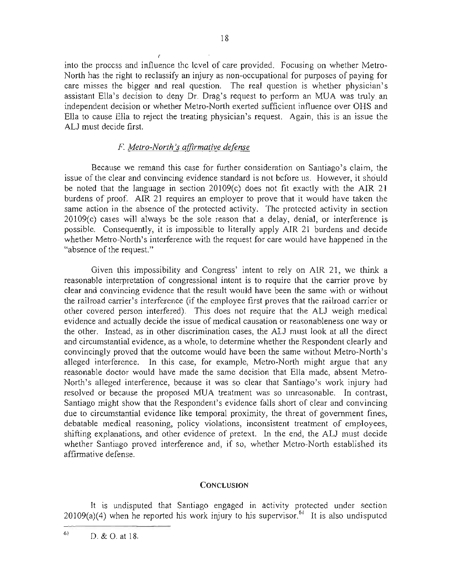into the process and influence the level of care provided. Focusing on whether Metro-North has the right to reclassify an injury as non-occupational for purposes of paying for care misses the bigger and real question. The real question is whether physician's assistant Ella's decision to deny Dr. Drag's request to perform an MUA was truly. an independent decision or whether Metro-North exerted sufficient influence over OHS and Ella to cause Ella to reject the treating physician's request. Again, this is an issue the ALJ must decide first.

# F. *Metro-North's affirmative deknse*

r.

Because we remand this case for further consideration on Santiago's claim, the issue of the clear and convincing evidence standard is not before us. However, it should be noted that the language in section 20109(c) does not fit exactly with the AIR 21 burdens of proof. AIR 21 requires an employer to prove that it would have taken the same action in the absence of the protected activity. The protected activity in section 20109(c) cases will always be the sole reason that a delay, denial, or interference is possible. Consequently, it is impossible to literally apply AIR 21 burdens and decide whether Metro-North's interference with the request for care would have happened in the "absence of the request."

Given this impossibility and Congress' intent to rely on AIR 21, we think a reasonable interpretation of congressional intent is to require that the carrier prove by clear and convincing evidence that the result would have been thc same with or without the railroad carrier's interference (if the employee first proves that the railroad carrier or other covered person interfered). This does not require that the ALJ weigh medical evidence and actually decide the issue of medical causation or reasonableness one way or the other. Instead, as in other discrimination cases, the ALJ must look at all the direct and circumstantial evidence, as a whole, to determine whether the Respondent clearly and convincingly proved that the outcome would have been the same without Metro-North's alleged interference. In this case, for example, Metro-North might argue that any reasonable doctor would have made the same decision that Ella made, absent Metro-North's alleged interference, because it was so clear that Santiago's work injury had resolved or because the proposed MUA treatment was so unreasonable. In contrast, Santiago might show that the Respondent's evidence falls short of clear and convincing due to circumstantial evidence like temporal proximity, the threat of government fines, debatable medical reasoning, policy violations, inconsistent treatment of employees, shifting explanations, and other evidence of pretext. In the end, the ALJ must decide whether Santiago proved interference and, if so, whether Metro-North established its affirmative defense.

# **CONCLUSION**

It is undisputed that Santiago engaged in activity protected under section 20109(a)(4) when he reported his work injury to his supervisor.<sup>61</sup> It is also undisputed

 $61$  D. & O. at 18.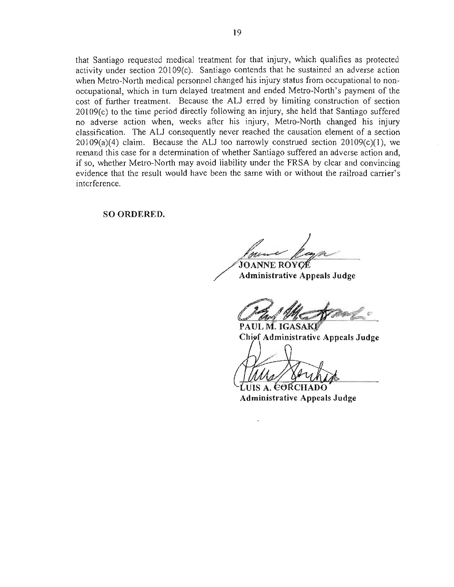that Santiago requested medical treatment for that injury, which qualifies as protected activity under section 20109(c). Santiago contends that he sustained an adverse action when Metro-North medical personnel changed his injury status from occupational to nonoccupational, which in tum delayed treatment and ended Metro-North's payment of the cost of further treatment. Because the ALJ erred by limiting construction of section 20109(c) to the time period directly following an injury, she held that Santiago suffered no adverse action when, weeks after his injury, Metro-North changed his injury classification. The ALl consequently never reached the causation element of a section  $20109(a)(4)$  claim. Because the ALJ too narrowly construed section  $20109(c)(1)$ , we remand this case for a determination of whether Santiago suffered an adverse action and, if so, whether Metro-North may avoid liability under the FRSA by clear and convincing evidence that the result would have been the same with or without the railroad carrier's interference.

SO ORDERED.

**JOANNE ROYGÉ** 

Administrative Appeals Judge

PAUL M. IGASAKI Chief Administrative Appeals Judge

**JUIS A. EORCHADO** 

Administrative Appeals Judge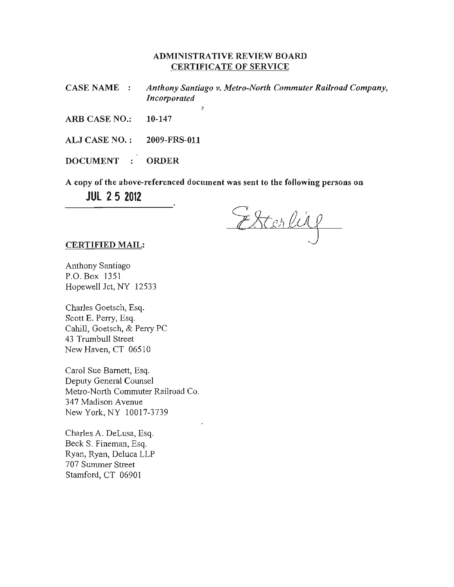# ADMINISTRATIVE REVIEW BOARD CERTIFICATE OF SERVICE

CASE NAME *Anthony Santiago v. Metro-North Commuter Railroad Company, Incorporated* 

,

ARB CASE NO.: 10-147

ALJ CASE NO. : 2009-FRS-Oll

DOCUMENT : ORDER

A copy of the above-referenced document was sent to the following persons on **JUl** 25 **2012** 

Esterlise

#### CERTIFIED MAIL:

Anthony Santiago P.O. Box J351 Hopewell Jet, NY 12533

Charles Goetsch, Esq. Scott E. Perry, Esq. Cahill, Goetsch, & Perry PC 43 Trumbull Street New Haven, CT 06510

Carol Sue Barnett, Esq. Deputy General Counsel Metro-North Commuter Railroad Co. 347 Madison Avenue New York, NY 10017-3739

Charles A. DeLusa, Esq. Beck S. Fineman, Esq. Ryan, Ryan, Deluca LLP 707 Summer Street Stamford, CT 06901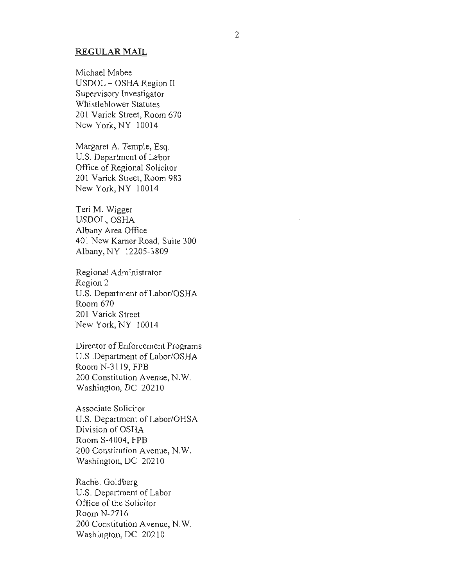### **REGULAR MAIL**

Michael Mabee USDOL - OSHA Region II Supervisory Investigator Whistleblower Statutes 201 Varick Street, Room 670 New York, NY 10014

Margaret A. Temple, Esq. U.S. Department of Labor Office of Regional Solicitor 201 Varick Street, Room 983 New York, NY 10014

Teri M. Wigger USDOL, OSHA Albany Area Office 401 New Kamer Road, Suite 300 Albany, NY 12205-3809

Regional Administrator Region 2 U.S. Department of Labor/OSHA Room 670 201 Varick Street New York, NY 10014

Director of Enforcement Programs U.S .Department of Labor/OSHA Room N-3119, FPB 200 Constitution Avenue, N.W. Washington, DC 20210

Associate Solicitor U.S. Department of Labor/OHSA Division of OSHA Room S-4004, FPB 200 Constitution Avenue, N.W. Washington, DC 20210

Rachel Goldberg U.S. Department of Labor Office of the Solicitor Room N-2716 200 Constitution Avenue, N.W. Washington, DC 20210